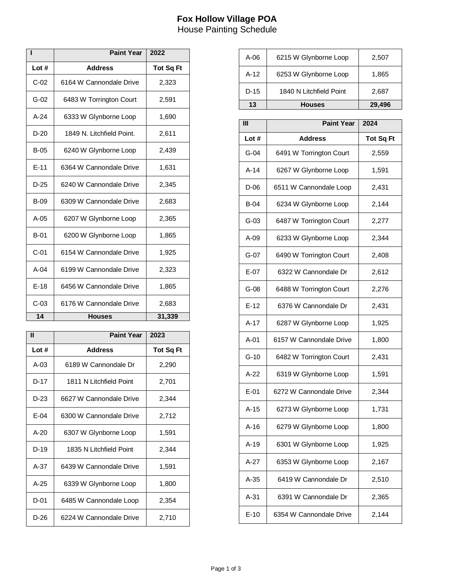## **Fox Hollow Village POA** House Painting Schedule

|             | <b>Paint Year</b>         | 2022             |
|-------------|---------------------------|------------------|
| Lot#        | <b>Address</b>            | <b>Tot Sg Ft</b> |
| $C-02$      | 6164 W Cannondale Drive   | 2,323            |
| $G-02$      | 6483 W Torrington Court   | 2,591            |
| $A-24$      | 6333 W Glynborne Loop     | 1,690            |
| $D-20$      | 1849 N. Litchfield Point. | 2,611            |
| $B-05$      | 6240 W Glynborne Loop     | 2,439            |
| $E - 11$    | 6364 W Cannondale Drive   | 1,631            |
| $D-25$      | 6240 W Cannondale Drive   | 2,345            |
| <b>B-09</b> | 6309 W Cannondale Drive   | 2,683            |
| $A-05$      | 6207 W Glynborne Loop     | 2,365            |
| $B-01$      | 6200 W Glynborne Loop     | 1,865            |
| $C-01$      | 6154 W Cannondale Drive   | 1,925            |
| $A-04$      | 6199 W Cannondale Drive   | 2,323            |
| $E-18$      | 6456 W Cannondale Drive   | 1,865            |
| $C-03$      | 6176 W Cannondale Drive   | 2,683            |
| 14          | <b>Houses</b>             | 31,339           |

| Ш        | <b>Paint Year</b>       | 2023             |
|----------|-------------------------|------------------|
| Lot #    | <b>Address</b>          | <b>Tot Sq Ft</b> |
| A-03     | 6189 W Cannondale Dr    | 2,290            |
| D-17     | 1811 N Litchfield Point | 2,701            |
| $D-23$   | 6627 W Cannondale Drive | 2,344            |
| $E-04$   | 6300 W Cannondale Drive | 2,712            |
| $A - 20$ | 6307 W Glynborne Loop   | 1,591            |
| $D-19$   | 1835 N Litchfield Point | 2,344            |
| $A-37$   | 6439 W Cannondale Drive | 1,591            |
| $A - 25$ | 6339 W Glynborne Loop   | 1,800            |
| $D-01$   | 6485 W Cannondale Loop  | 2,354            |
| $D-26$   | 6224 W Cannondale Drive | 2,710            |

| 13   | Houses                  | 29,496 |
|------|-------------------------|--------|
| D-15 | 1840 N Litchfield Point | 2,687  |
| A-12 | 6253 W Glynborne Loop   | 1,865  |
| A-06 | 6215 W Glynborne Loop   | 2,507  |

| ĪII    | <b>Paint Year</b>       | 2024             |
|--------|-------------------------|------------------|
| Lot #  | <b>Address</b>          | <b>Tot Sq Ft</b> |
| $G-04$ | 6491 W Torrington Court | 2,559            |
| $A-14$ | 6267 W Glynborne Loop   | 1,591            |
| D-06   | 6511 W Cannondale Loop  | 2,431            |
| $B-04$ | 6234 W Glynborne Loop   | 2,144            |
| $G-03$ | 6487 W Torrington Court | 2,277            |
| A-09   | 6233 W Glynborne Loop   | 2,344            |
| $G-07$ | 6490 W Torrington Court | 2,408            |
| E-07   | 6322 W Cannondale Dr    | 2,612            |
| $G-08$ | 6488 W Torrington Court | 2,276            |
| $E-12$ | 6376 W Cannondale Dr    | 2,431            |
| $A-17$ | 6287 W Glynborne Loop   | 1,925            |
| $A-01$ | 6157 W Cannondale Drive | 1,800            |
| $G-10$ | 6482 W Torrington Court | 2,431            |
| $A-22$ | 6319 W Glynborne Loop   | 1,591            |
| $E-01$ | 6272 W Cannondale Drive | 2,344            |
| $A-15$ | 6273 W Glynborne Loop   | 1,731            |
| $A-16$ | 6279 W Glynborne Loop   | 1,800            |
| $A-19$ | 6301 W Glynborne Loop   | 1,925            |
| $A-27$ | 6353 W Glynborne Loop   | 2,167            |
| A-35   | 6419 W Cannondale Dr    | 2,510            |
| A-31   | 6391 W Cannondale Dr    | 2,365            |
| $E-10$ | 6354 W Cannondale Drive | 2,144            |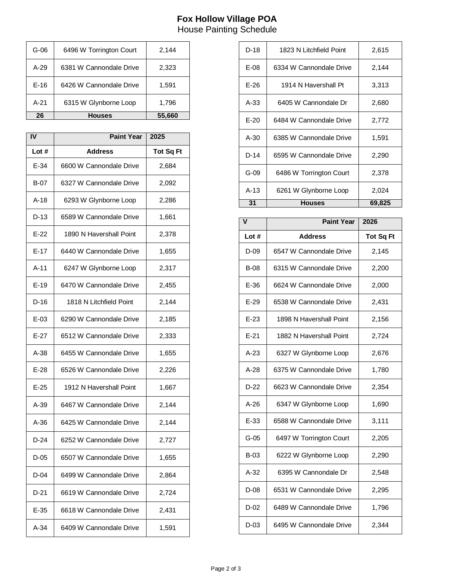## **Fox Hollow Village POA** House Painting Schedule

| 26     | Houses                  | 55,660 |
|--------|-------------------------|--------|
| $A-21$ | 6315 W Glynborne Loop   | 1,796  |
| $E-16$ | 6426 W Cannondale Drive | 1,591  |
| $A-29$ | 6381 W Cannondale Drive | 2,323  |
| $G-06$ | 6496 W Torrington Court | 2,144  |

| IV     | <b>Paint Year</b>       | 2025             |
|--------|-------------------------|------------------|
| Lot#   | <b>Address</b>          | <b>Tot Sq Ft</b> |
| $E-34$ | 6600 W Cannondale Drive | 2,684            |
| B-07   | 6327 W Cannondale Drive | 2,092            |
| A-18   | 6293 W Glynborne Loop   | 2,286            |
| D-13   | 6589 W Cannondale Drive | 1,661            |
| $E-22$ | 1890 N Havershall Point | 2,378            |
| $E-17$ | 6440 W Cannondale Drive | 1,655            |
| $A-11$ | 6247 W Glynborne Loop   | 2,317            |
| $E-19$ | 6470 W Cannondale Drive | 2,455            |
| $D-16$ | 1818 N Litchfield Point | 2,144            |
| $E-03$ | 6290 W Cannondale Drive | 2,185            |
| $E-27$ | 6512 W Cannondale Drive | 2,333            |
| $A-38$ | 6455 W Cannondale Drive | 1,655            |
| $E-28$ | 6526 W Cannondale Drive | 2,226            |
| $E-25$ | 1912 N Havershall Point | 1,667            |
| $A-39$ | 6467 W Cannondale Drive | 2,144            |
| $A-36$ | 6425 W Cannondale Drive | 2,144            |
| $D-24$ | 6252 W Cannondale Drive | 2,727            |
| $D-05$ | 6507 W Cannondale Drive | 1,655            |
| D-04   | 6499 W Cannondale Drive | 2,864            |
| D-21   | 6619 W Cannondale Drive | 2,724            |
| $E-35$ | 6618 W Cannondale Drive | 2,431            |
| A-34   | 6409 W Cannondale Drive | 1,591            |

| D-18   | 1823 N Litchfield Point | 2,615  |
|--------|-------------------------|--------|
| E-08   | 6334 W Cannondale Drive | 2,144  |
| $E-26$ | 1914 N Havershall Pt    | 3,313  |
| $A-33$ | 6405 W Cannondale Dr    | 2,680  |
| $E-20$ | 6484 W Cannondale Drive | 2,772  |
| $A-30$ | 6385 W Cannondale Drive | 1,591  |
| $D-14$ | 6595 W Cannondale Drive | 2,290  |
| $G-09$ | 6486 W Torrington Court | 2,378  |
| $A-13$ | 6261 W Glynborne Loop   | 2,024  |
| 31     | <b>Houses</b>           | 69,825 |

| v           | <b>Paint Year</b>       | 2026             |
|-------------|-------------------------|------------------|
| Lot #       | <b>Address</b>          | <b>Tot Sq Ft</b> |
| $D-09$      | 6547 W Cannondale Drive | 2,145            |
| $B-08$      | 6315 W Cannondale Drive | 2,200            |
| $E-36$      | 6624 W Cannondale Drive | 2,000            |
| $E-29$      | 6538 W Cannondale Drive | 2,431            |
| $E-23$      | 1898 N Havershall Point | 2,156            |
| $E-21$      | 1882 N Havershall Point | 2,724            |
| $A-23$      | 6327 W Glynborne Loop   | 2,676            |
| $A-28$      | 6375 W Cannondale Drive | 1,780            |
| $D-22$      | 6623 W Cannondale Drive | 2,354            |
| $A-26$      | 6347 W Glynborne Loop   | 1,690            |
| $E-33$      | 6588 W Cannondale Drive | 3,111            |
| $G-05$      | 6497 W Torrington Court | 2,205            |
| <b>B-03</b> | 6222 W Glynborne Loop   | 2,290            |
| $A-32$      | 6395 W Cannondale Dr    | 2,548            |
| D-08        | 6531 W Cannondale Drive | 2,295            |
| $D-02$      | 6489 W Cannondale Drive | 1,796            |
| $D-03$      | 6495 W Cannondale Drive | 2,344            |